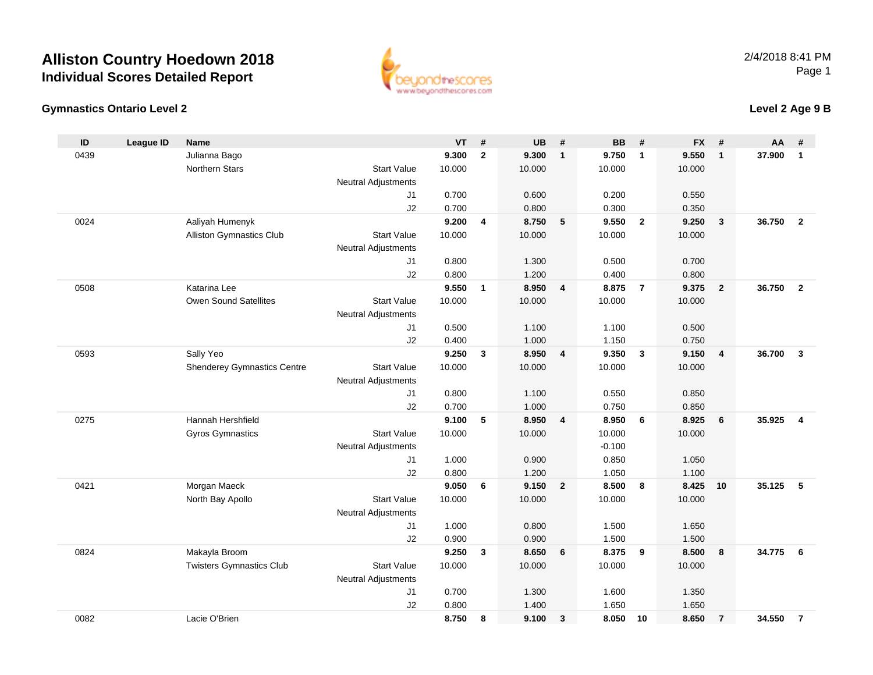



### **Level 2 Age 9 B**

| ID   | League ID | <b>Name</b>                        |                            | <b>VT</b>      | #            | <b>UB</b>      | #                       | <b>BB</b>      | #              | <b>FX</b>      | #              | AA     | #              |
|------|-----------|------------------------------------|----------------------------|----------------|--------------|----------------|-------------------------|----------------|----------------|----------------|----------------|--------|----------------|
| 0439 |           | Julianna Bago                      |                            | 9.300          | $\mathbf{2}$ | 9.300          | $\mathbf{1}$            | 9.750          | $\overline{1}$ | 9.550          | $\mathbf{1}$   | 37.900 | $\mathbf{1}$   |
|      |           | <b>Northern Stars</b>              | <b>Start Value</b>         | 10.000         |              | 10.000         |                         | 10.000         |                | 10.000         |                |        |                |
|      |           |                                    | Neutral Adjustments        |                |              |                |                         |                |                |                |                |        |                |
|      |           |                                    | J <sub>1</sub>             | 0.700          |              | 0.600          |                         | 0.200          |                | 0.550          |                |        |                |
|      |           |                                    | J2                         | 0.700          |              | 0.800          |                         | 0.300          |                | 0.350          |                |        |                |
| 0024 |           | Aaliyah Humenyk                    |                            | 9.200          | 4            | 8.750          | 5                       | 9.550          | $\overline{2}$ | 9.250          | $\mathbf{3}$   | 36.750 | $\overline{2}$ |
|      |           | <b>Alliston Gymnastics Club</b>    | <b>Start Value</b>         | 10.000         |              | 10.000         |                         | 10.000         |                | 10.000         |                |        |                |
|      |           |                                    | Neutral Adjustments        |                |              |                |                         |                |                |                |                |        |                |
|      |           |                                    | J <sub>1</sub>             | 0.800          |              | 1.300          |                         | 0.500          |                | 0.700          |                |        |                |
|      |           |                                    | J2                         | 0.800          |              | 1.200          |                         | 0.400          |                | 0.800          |                |        |                |
| 0508 |           | Katarina Lee                       |                            | 9.550          | $\mathbf{1}$ | 8.950          | $\overline{\mathbf{4}}$ | 8.875          | $\overline{7}$ | 9.375          | $\overline{2}$ | 36.750 | $\overline{2}$ |
|      |           | Owen Sound Satellites              | <b>Start Value</b>         | 10.000         |              | 10.000         |                         | 10.000         |                | 10.000         |                |        |                |
|      |           |                                    | Neutral Adjustments        |                |              |                |                         |                |                |                |                |        |                |
|      |           |                                    | J <sub>1</sub>             | 0.500          |              | 1.100          |                         | 1.100          |                | 0.500          |                |        |                |
|      |           |                                    | J2                         | 0.400          |              | 1.000          |                         | 1.150          |                | 0.750          |                |        |                |
| 0593 |           | Sally Yeo                          |                            | 9.250          | 3            | 8.950          | 4                       | 9.350          | $\mathbf{3}$   | 9.150          | $\overline{4}$ | 36.700 | $\mathbf{3}$   |
|      |           | <b>Shenderey Gymnastics Centre</b> | <b>Start Value</b>         | 10.000         |              | 10.000         |                         | 10.000         |                | 10.000         |                |        |                |
|      |           |                                    | Neutral Adjustments        |                |              |                |                         |                |                |                |                |        |                |
|      |           |                                    | J <sub>1</sub><br>J2       | 0.800<br>0.700 |              | 1.100<br>1.000 |                         | 0.550<br>0.750 |                | 0.850          |                |        |                |
| 0275 |           | Hannah Hershfield                  |                            | 9.100          | 5            | 8.950          | 4                       | 8.950          | 6              | 0.850<br>8.925 | 6              | 35.925 | 4              |
|      |           | Gyros Gymnastics                   | <b>Start Value</b>         | 10.000         |              | 10.000         |                         | 10.000         |                | 10.000         |                |        |                |
|      |           |                                    | Neutral Adjustments        |                |              |                |                         | $-0.100$       |                |                |                |        |                |
|      |           |                                    | J <sub>1</sub>             | 1.000          |              | 0.900          |                         | 0.850          |                | 1.050          |                |        |                |
|      |           |                                    | J2                         | 0.800          |              | 1.200          |                         | 1.050          |                | 1.100          |                |        |                |
| 0421 |           | Morgan Maeck                       |                            | 9.050          | 6            | 9.150          | $\overline{2}$          | 8.500          | 8              | 8.425          | 10             | 35.125 | 5              |
|      |           | North Bay Apollo                   | <b>Start Value</b>         | 10.000         |              | 10.000         |                         | 10.000         |                | 10.000         |                |        |                |
|      |           |                                    | <b>Neutral Adjustments</b> |                |              |                |                         |                |                |                |                |        |                |
|      |           |                                    | J <sub>1</sub>             | 1.000          |              | 0.800          |                         | 1.500          |                | 1.650          |                |        |                |
|      |           |                                    | J2                         | 0.900          |              | 0.900          |                         | 1.500          |                | 1.500          |                |        |                |
| 0824 |           | Makayla Broom                      |                            | 9.250          | 3            | 8.650          | 6                       | 8.375          | 9              | 8.500          | 8              | 34.775 | - 6            |
|      |           | <b>Twisters Gymnastics Club</b>    | <b>Start Value</b>         | 10.000         |              | 10.000         |                         | 10.000         |                | 10.000         |                |        |                |
|      |           |                                    | <b>Neutral Adjustments</b> |                |              |                |                         |                |                |                |                |        |                |
|      |           |                                    | J <sub>1</sub>             | 0.700          |              | 1.300          |                         | 1.600          |                | 1.350          |                |        |                |
|      |           |                                    | J2                         | 0.800          |              | 1.400          |                         | 1.650          |                | 1.650          |                |        |                |
| 0082 |           | Lacie O'Brien                      |                            | 8.750          | 8            | 9.100          | $\mathbf{3}$            | 8.050          | 10             | 8.650          | $\overline{7}$ | 34.550 | $\overline{7}$ |
|      |           |                                    |                            |                |              |                |                         |                |                |                |                |        |                |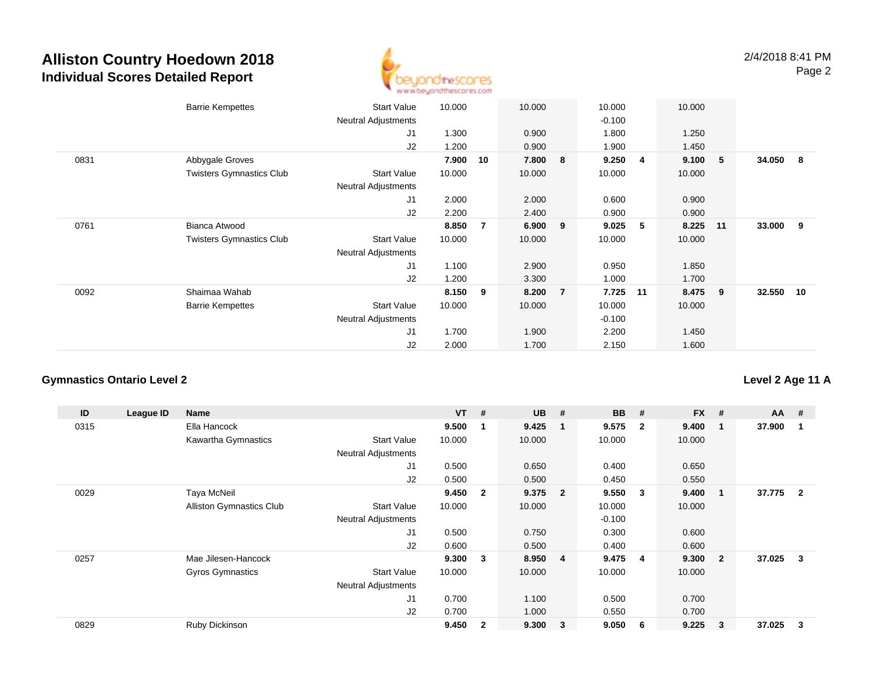

|      | <b>Barrie Kempettes</b>         | <b>Start Value</b><br><b>Neutral Adjustments</b> | 10.000 |                | 10.000 |                | 10.000<br>$-0.100$ |    | 10.000 |       |           |                         |
|------|---------------------------------|--------------------------------------------------|--------|----------------|--------|----------------|--------------------|----|--------|-------|-----------|-------------------------|
|      |                                 | J1                                               | 1.300  |                | 0.900  |                | 1.800              |    | 1.250  |       |           |                         |
|      |                                 | J2                                               | 1.200  |                | 0.900  |                | 1.900              |    | 1.450  |       |           |                         |
| 0831 | Abbygale Groves                 |                                                  | 7.900  | 10             | 7.800  | - 8            | 9.250              | 4  | 9.100  | 5     | 34.050    | $\overline{\mathbf{8}}$ |
|      | <b>Twisters Gymnastics Club</b> | <b>Start Value</b><br><b>Neutral Adjustments</b> | 10.000 |                | 10.000 |                | 10.000             |    | 10.000 |       |           |                         |
|      |                                 | J1                                               | 2.000  |                | 2.000  |                | 0.600              |    | 0.900  |       |           |                         |
|      |                                 | J2                                               | 2.200  |                | 2.400  |                | 0.900              |    | 0.900  |       |           |                         |
| 0761 | Bianca Atwood                   |                                                  | 8.850  | $\overline{7}$ | 6.900  | - 9            | 9.025              | 5  | 8.225  | $-11$ | 33.000 9  |                         |
|      | <b>Twisters Gymnastics Club</b> | <b>Start Value</b>                               | 10.000 |                | 10.000 |                | 10.000             |    | 10.000 |       |           |                         |
|      |                                 | Neutral Adjustments                              |        |                |        |                |                    |    |        |       |           |                         |
|      |                                 | J1                                               | 1.100  |                | 2.900  |                | 0.950              |    | 1.850  |       |           |                         |
|      |                                 | J2                                               | 1.200  |                | 3.300  |                | 1.000              |    | 1.700  |       |           |                         |
| 0092 | Shaimaa Wahab                   |                                                  | 8.150  | 9              | 8.200  | $\overline{7}$ | 7.725              | 11 | 8.475  | - 9   | 32.550 10 |                         |
|      | <b>Barrie Kempettes</b>         | <b>Start Value</b>                               | 10.000 |                | 10.000 |                | 10.000             |    | 10.000 |       |           |                         |
|      |                                 | <b>Neutral Adjustments</b>                       |        |                |        |                | $-0.100$           |    |        |       |           |                         |
|      |                                 | J1                                               | 1.700  |                | 1.900  |                | 2.200              |    | 1.450  |       |           |                         |
|      |                                 | J2                                               | 2.000  |                | 1.700  |                | 2.150              |    | 1.600  |       |           |                         |

#### **Gymnastics Ontario Level 2**

**ID League ID Name VT # UB # BB # FX # AA #** 0315 Ella Hancock **9.500 <sup>1</sup> 9.425 <sup>1</sup> 9.575 <sup>2</sup> 9.400 <sup>1</sup> 37.900 <sup>1</sup>** Kawartha Gymnastics Start Valuee 10.000 10.000 10.000 10.000 Neutral Adjustments J1 0.500 0.650 0.400 0.650 J2 0.500 0.500 0.450 0.550 0029 Taya McNeil **9.450 <sup>2</sup> 9.375 <sup>2</sup> 9.550 <sup>3</sup> 9.400 <sup>1</sup> 37.775 <sup>2</sup>** Alliston Gymnastics Clubb 3tart Value 10.000 10.000 10.000 10.000 10.000 Neutral Adjustments $-0.100$ 0.300 J1 0.500 0.750 0.300 0.600 J2 0.600 0.500 0.400 0.600 0257 Mae Jilesen-Hancock **9.300 <sup>3</sup> 8.950 <sup>4</sup> 9.475 <sup>4</sup> 9.300 <sup>2</sup> 37.025 <sup>3</sup>** Gyros Gymnastics Start Valuee 10.000 10.000 10.000 10.000 Neutral Adjustments J1 0.700 1.100 0.500 0.700 J2 0.700 1.000 0.550 0.700 0829Ruby Dickinson **9.450 <sup>2</sup> 9.300 <sup>3</sup> 9.050 <sup>6</sup> 9.225 <sup>3</sup> 37.025 <sup>3</sup>**

### **Level 2 Age 11 A**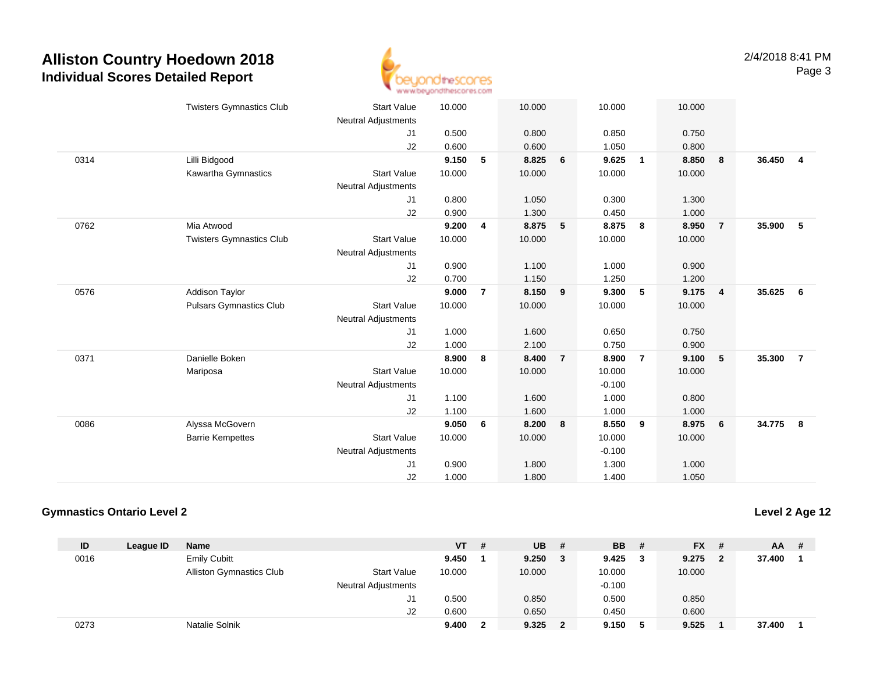

|      | <b>Twisters Gymnastics Club</b> | <b>Start Value</b><br><b>Neutral Adjustments</b> | 10.000 |                | 10.000 |                | 10.000   |                | 10.000 |                |        |                |
|------|---------------------------------|--------------------------------------------------|--------|----------------|--------|----------------|----------|----------------|--------|----------------|--------|----------------|
|      |                                 | J1                                               | 0.500  |                | 0.800  |                | 0.850    |                | 0.750  |                |        |                |
|      |                                 | J2                                               | 0.600  |                | 0.600  |                | 1.050    |                | 0.800  |                |        |                |
| 0314 | Lilli Bidgood                   |                                                  | 9.150  | 5              | 8.825  | 6              | 9.625    | $\mathbf{1}$   | 8.850  | 8              | 36.450 | $\overline{4}$ |
|      | Kawartha Gymnastics             | <b>Start Value</b>                               | 10.000 |                | 10.000 |                | 10.000   |                | 10.000 |                |        |                |
|      |                                 | <b>Neutral Adjustments</b>                       |        |                |        |                |          |                |        |                |        |                |
|      |                                 | J1                                               | 0.800  |                | 1.050  |                | 0.300    |                | 1.300  |                |        |                |
|      |                                 | J2                                               | 0.900  |                | 1.300  |                | 0.450    |                | 1.000  |                |        |                |
| 0762 | Mia Atwood                      |                                                  | 9.200  | 4              | 8.875  | 5              | 8.875    | 8              | 8.950  | $\overline{7}$ | 35.900 | 5              |
|      | <b>Twisters Gymnastics Club</b> | <b>Start Value</b>                               | 10.000 |                | 10.000 |                | 10.000   |                | 10.000 |                |        |                |
|      |                                 | <b>Neutral Adjustments</b>                       |        |                |        |                |          |                |        |                |        |                |
|      |                                 | J1                                               | 0.900  |                | 1.100  |                | 1.000    |                | 0.900  |                |        |                |
|      |                                 | J2                                               | 0.700  |                | 1.150  |                | 1.250    |                | 1.200  |                |        |                |
| 0576 | <b>Addison Taylor</b>           |                                                  | 9.000  | $\overline{7}$ | 8.150  | 9              | 9.300    | 5              | 9.175  | $\overline{4}$ | 35.625 | 6              |
|      | <b>Pulsars Gymnastics Club</b>  | <b>Start Value</b>                               | 10.000 |                | 10.000 |                | 10.000   |                | 10.000 |                |        |                |
|      |                                 | <b>Neutral Adjustments</b>                       |        |                |        |                |          |                |        |                |        |                |
|      |                                 | J1                                               | 1.000  |                | 1.600  |                | 0.650    |                | 0.750  |                |        |                |
|      |                                 | J2                                               | 1.000  |                | 2.100  |                | 0.750    |                | 0.900  |                |        |                |
| 0371 | Danielle Boken                  |                                                  | 8.900  | 8              | 8.400  | $\overline{7}$ | 8.900    | $\overline{7}$ | 9.100  | 5              | 35.300 | $\overline{7}$ |
|      | Mariposa                        | <b>Start Value</b>                               | 10.000 |                | 10.000 |                | 10.000   |                | 10.000 |                |        |                |
|      |                                 | <b>Neutral Adjustments</b>                       |        |                |        |                | $-0.100$ |                |        |                |        |                |
|      |                                 | J1                                               | 1.100  |                | 1.600  |                | 1.000    |                | 0.800  |                |        |                |
|      |                                 | J2                                               | 1.100  |                | 1.600  |                | 1.000    |                | 1.000  |                |        |                |
| 0086 | Alyssa McGovern                 |                                                  | 9.050  | 6              | 8.200  | 8              | 8.550    | 9              | 8.975  | 6              | 34.775 | $_{\rm 8}$     |
|      | <b>Barrie Kempettes</b>         | <b>Start Value</b>                               | 10.000 |                | 10.000 |                | 10.000   |                | 10.000 |                |        |                |
|      |                                 | <b>Neutral Adjustments</b>                       |        |                |        |                | $-0.100$ |                |        |                |        |                |
|      |                                 | J1                                               | 0.900  |                | 1.800  |                | 1.300    |                | 1.000  |                |        |                |
|      |                                 | J2                                               | 1.000  |                | 1.800  |                | 1.400    |                | 1.050  |                |        |                |

### **Gymnastics Ontario Level 2**

**Level 2 Age 12**

| ID   | League ID | Name                            |                            | <b>VT</b> | # | <b>UB</b> | # | <b>BB</b> | - # | <b>FX</b> | - #                     | <b>AA</b> | -# |
|------|-----------|---------------------------------|----------------------------|-----------|---|-----------|---|-----------|-----|-----------|-------------------------|-----------|----|
| 0016 |           | <b>Emily Cubitt</b>             |                            | 9.450     |   | 9.250     | 3 | 9.425     | 3   | 9.275     | $\overline{\mathbf{2}}$ | 37.400    |    |
|      |           | <b>Alliston Gymnastics Club</b> | <b>Start Value</b>         | 10.000    |   | 10.000    |   | 10.000    |     | 10.000    |                         |           |    |
|      |           |                                 | <b>Neutral Adjustments</b> |           |   |           |   | $-0.100$  |     |           |                         |           |    |
|      |           |                                 | J1                         | 0.500     |   | 0.850     |   | 0.500     |     | 0.850     |                         |           |    |
|      |           |                                 | J2                         | 0.600     |   | 0.650     |   | 0.450     |     | 0.600     |                         |           |    |
| 0273 |           | Natalie Solnik                  |                            | 9.400     |   | 9.325     | 2 | 9.150     | 5   | 9.525     |                         | 37.400    |    |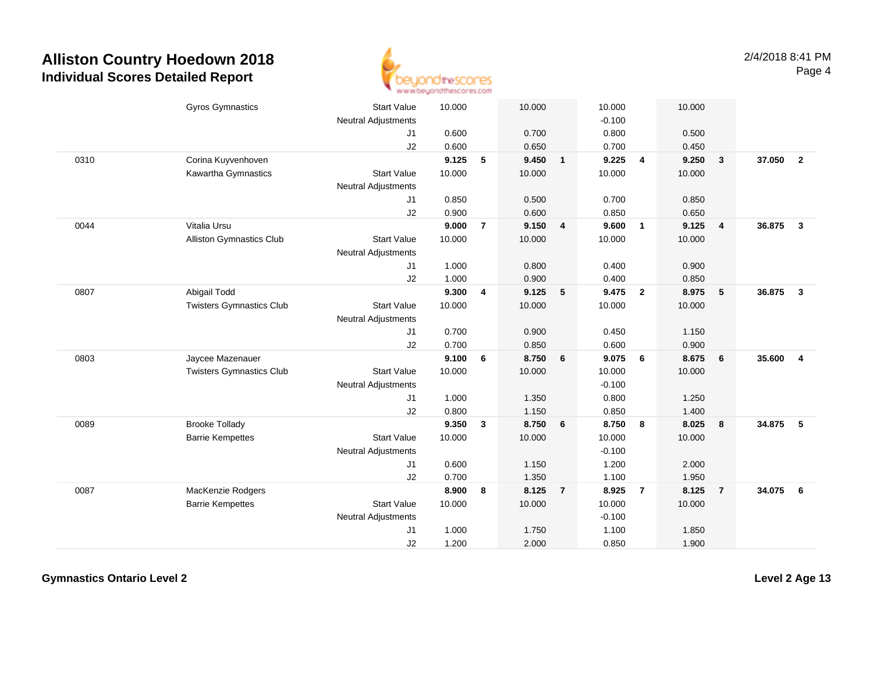

|      | <b>Gyros Gymnastics</b>         | <b>Start Value</b>         | 10.000 |                | 10.000 |                | 10.000   |                  | 10.000 |                         |        |                |
|------|---------------------------------|----------------------------|--------|----------------|--------|----------------|----------|------------------|--------|-------------------------|--------|----------------|
|      |                                 | <b>Neutral Adjustments</b> |        |                |        |                | $-0.100$ |                  |        |                         |        |                |
|      |                                 | J1                         | 0.600  |                | 0.700  |                | 0.800    |                  | 0.500  |                         |        |                |
|      |                                 | J2                         | 0.600  |                | 0.650  |                | 0.700    |                  | 0.450  |                         |        |                |
| 0310 | Corina Kuyvenhoven              |                            | 9.125  | 5              | 9.450  | $\mathbf{1}$   | 9.225    | 4                | 9.250  | $\overline{\mathbf{3}}$ | 37.050 | $\overline{2}$ |
|      | Kawartha Gymnastics             | <b>Start Value</b>         | 10.000 |                | 10.000 |                | 10.000   |                  | 10.000 |                         |        |                |
|      |                                 | <b>Neutral Adjustments</b> |        |                |        |                |          |                  |        |                         |        |                |
|      |                                 | J1                         | 0.850  |                | 0.500  |                | 0.700    |                  | 0.850  |                         |        |                |
|      |                                 | J2                         | 0.900  |                | 0.600  |                | 0.850    |                  | 0.650  |                         |        |                |
| 0044 | Vitalia Ursu                    |                            | 9.000  | $\overline{7}$ | 9.150  | 4              | 9.600    | $\overline{1}$   | 9.125  | $\overline{\mathbf{4}}$ | 36.875 | $\mathbf{3}$   |
|      | Alliston Gymnastics Club        | <b>Start Value</b>         | 10.000 |                | 10.000 |                | 10.000   |                  | 10.000 |                         |        |                |
|      |                                 | <b>Neutral Adjustments</b> |        |                |        |                |          |                  |        |                         |        |                |
|      |                                 | J1                         | 1.000  |                | 0.800  |                | 0.400    |                  | 0.900  |                         |        |                |
|      |                                 | J2                         | 1.000  |                | 0.900  |                | 0.400    |                  | 0.850  |                         |        |                |
| 0807 | Abigail Todd                    |                            | 9.300  | 4              | 9.125  | 5              | 9.475    | $\overline{2}$   | 8.975  | 5                       | 36.875 | $\mathbf{3}$   |
|      | <b>Twisters Gymnastics Club</b> | <b>Start Value</b>         | 10.000 |                | 10.000 |                | 10.000   |                  | 10.000 |                         |        |                |
|      |                                 | <b>Neutral Adjustments</b> |        |                |        |                |          |                  |        |                         |        |                |
|      |                                 | J1                         | 0.700  |                | 0.900  |                | 0.450    |                  | 1.150  |                         |        |                |
|      |                                 | J2                         | 0.700  |                | 0.850  |                | 0.600    |                  | 0.900  |                         |        |                |
| 0803 | Jaycee Mazenauer                |                            | 9.100  | 6              | 8.750  | 6              | 9.075    | 6                | 8.675  | 6                       | 35.600 | $\overline{4}$ |
|      | <b>Twisters Gymnastics Club</b> | <b>Start Value</b>         | 10.000 |                | 10.000 |                | 10.000   |                  | 10.000 |                         |        |                |
|      |                                 | <b>Neutral Adjustments</b> |        |                |        |                | $-0.100$ |                  |        |                         |        |                |
|      |                                 | J1                         | 1.000  |                | 1.350  |                | 0.800    |                  | 1.250  |                         |        |                |
|      |                                 | J2                         | 0.800  |                | 1.150  |                | 0.850    |                  | 1.400  |                         |        |                |
| 0089 | <b>Brooke Tollady</b>           |                            | 9.350  | 3              | 8.750  | 6              | 8.750    | $\boldsymbol{8}$ | 8.025  | $\bf{8}$                | 34.875 | $-5$           |
|      | <b>Barrie Kempettes</b>         | <b>Start Value</b>         | 10.000 |                | 10.000 |                | 10.000   |                  | 10.000 |                         |        |                |
|      |                                 | <b>Neutral Adjustments</b> |        |                |        |                | $-0.100$ |                  |        |                         |        |                |
|      |                                 | J1                         | 0.600  |                | 1.150  |                | 1.200    |                  | 2.000  |                         |        |                |
|      |                                 | J2                         | 0.700  |                | 1.350  |                | 1.100    |                  | 1.950  |                         |        |                |
| 0087 | MacKenzie Rodgers               |                            | 8.900  | 8              | 8.125  | $\overline{7}$ | 8.925    | $\overline{7}$   | 8.125  | $\overline{7}$          | 34.075 | - 6            |
|      | <b>Barrie Kempettes</b>         | <b>Start Value</b>         | 10.000 |                | 10.000 |                | 10.000   |                  | 10.000 |                         |        |                |
|      |                                 | <b>Neutral Adjustments</b> |        |                |        |                | $-0.100$ |                  |        |                         |        |                |
|      |                                 | J1                         | 1.000  |                | 1.750  |                | 1.100    |                  | 1.850  |                         |        |                |
|      |                                 | J2                         | 1.200  |                | 2.000  |                | 0.850    |                  | 1.900  |                         |        |                |
|      |                                 |                            |        |                |        |                |          |                  |        |                         |        |                |

**Gymnastics Ontario Level 2**

**Level 2 Age 13**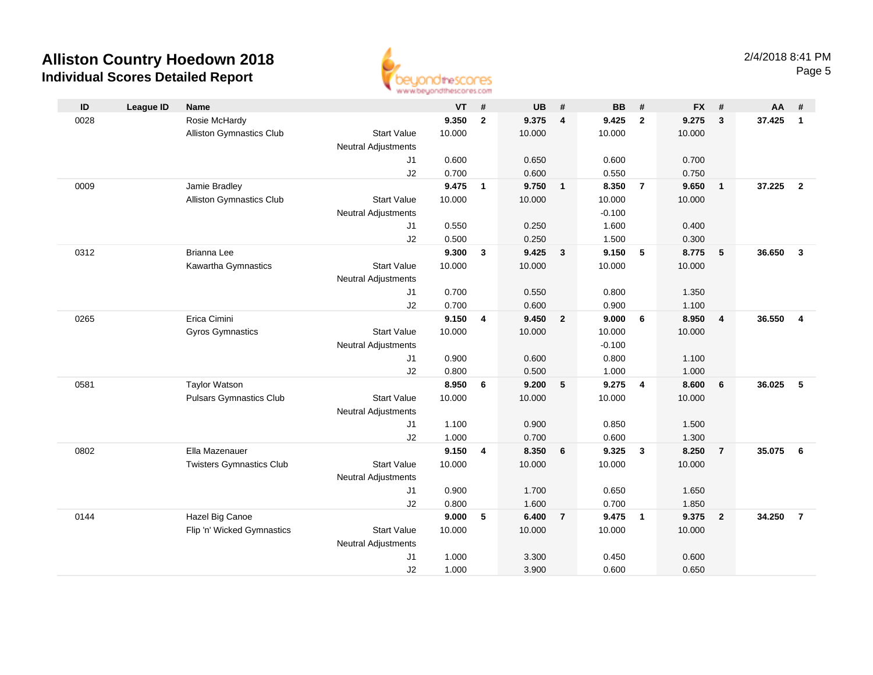

| $\mathsf{ID}$ | <b>League ID</b> | <b>Name</b>                     |                            | VT     | #                       | UB     | #              | <b>BB</b> | #                       | <b>FX</b> | #                       | AA     | #              |
|---------------|------------------|---------------------------------|----------------------------|--------|-------------------------|--------|----------------|-----------|-------------------------|-----------|-------------------------|--------|----------------|
| 0028          |                  | Rosie McHardy                   |                            | 9.350  | $\mathbf{2}$            | 9.375  | $\overline{4}$ | 9.425     | $\mathbf{2}$            | 9.275     | $\mathbf{3}$            | 37.425 | $\mathbf{1}$   |
|               |                  | Alliston Gymnastics Club        | <b>Start Value</b>         | 10.000 |                         | 10.000 |                | 10.000    |                         | 10.000    |                         |        |                |
|               |                  |                                 | <b>Neutral Adjustments</b> |        |                         |        |                |           |                         |           |                         |        |                |
|               |                  |                                 | J1                         | 0.600  |                         | 0.650  |                | 0.600     |                         | 0.700     |                         |        |                |
|               |                  |                                 | J2                         | 0.700  |                         | 0.600  |                | 0.550     |                         | 0.750     |                         |        |                |
| 0009          |                  | Jamie Bradley                   |                            | 9.475  | $\mathbf{1}$            | 9.750  | $\mathbf{1}$   | 8.350     | $\overline{7}$          | 9.650     | $\overline{1}$          | 37.225 | $\overline{2}$ |
|               |                  | Alliston Gymnastics Club        | <b>Start Value</b>         | 10.000 |                         | 10.000 |                | 10.000    |                         | 10.000    |                         |        |                |
|               |                  |                                 | <b>Neutral Adjustments</b> |        |                         |        |                | $-0.100$  |                         |           |                         |        |                |
|               |                  |                                 | J1                         | 0.550  |                         | 0.250  |                | 1.600     |                         | 0.400     |                         |        |                |
|               |                  |                                 | J2                         | 0.500  |                         | 0.250  |                | 1.500     |                         | 0.300     |                         |        |                |
| 0312          |                  | <b>Brianna Lee</b>              |                            | 9.300  | $\mathbf{3}$            | 9.425  | $\mathbf{3}$   | 9.150     | 5                       | 8.775     | $5\phantom{.0}$         | 36.650 | $\mathbf{3}$   |
|               |                  | Kawartha Gymnastics             | <b>Start Value</b>         | 10.000 |                         | 10.000 |                | 10.000    |                         | 10.000    |                         |        |                |
|               |                  |                                 | <b>Neutral Adjustments</b> |        |                         |        |                |           |                         |           |                         |        |                |
|               |                  |                                 | J1                         | 0.700  |                         | 0.550  |                | 0.800     |                         | 1.350     |                         |        |                |
|               |                  |                                 | J2                         | 0.700  |                         | 0.600  |                | 0.900     |                         | 1.100     |                         |        |                |
| 0265          |                  | Erica Cimini                    |                            | 9.150  | $\overline{\mathbf{4}}$ | 9.450  | $\overline{2}$ | 9.000     | 6                       | 8.950     | $\overline{4}$          | 36.550 | 4              |
|               |                  | <b>Gyros Gymnastics</b>         | <b>Start Value</b>         | 10.000 |                         | 10.000 |                | 10.000    |                         | 10.000    |                         |        |                |
|               |                  |                                 | <b>Neutral Adjustments</b> |        |                         |        |                | $-0.100$  |                         |           |                         |        |                |
|               |                  |                                 | J1                         | 0.900  |                         | 0.600  |                | 0.800     |                         | 1.100     |                         |        |                |
|               |                  |                                 | J <sub>2</sub>             | 0.800  |                         | 0.500  |                | 1.000     |                         | 1.000     |                         |        |                |
| 0581          |                  | <b>Taylor Watson</b>            |                            | 8.950  | 6                       | 9.200  | 5              | 9.275     | $\overline{4}$          | 8.600     | $6\phantom{1}6$         | 36.025 | 5              |
|               |                  | <b>Pulsars Gymnastics Club</b>  | <b>Start Value</b>         | 10.000 |                         | 10.000 |                | 10.000    |                         | 10.000    |                         |        |                |
|               |                  |                                 | <b>Neutral Adjustments</b> |        |                         |        |                |           |                         |           |                         |        |                |
|               |                  |                                 | J1                         | 1.100  |                         | 0.900  |                | 0.850     |                         | 1.500     |                         |        |                |
|               |                  |                                 | J2                         | 1.000  |                         | 0.700  |                | 0.600     |                         | 1.300     |                         |        |                |
| 0802          |                  | Ella Mazenauer                  |                            | 9.150  | $\overline{\mathbf{4}}$ | 8.350  | 6              | 9.325     | $\mathbf{3}$            | 8.250     | $\overline{7}$          | 35.075 | - 6            |
|               |                  | <b>Twisters Gymnastics Club</b> | <b>Start Value</b>         | 10.000 |                         | 10.000 |                | 10.000    |                         | 10.000    |                         |        |                |
|               |                  |                                 | <b>Neutral Adjustments</b> |        |                         |        |                |           |                         |           |                         |        |                |
|               |                  |                                 | J1                         | 0.900  |                         | 1.700  |                | 0.650     |                         | 1.650     |                         |        |                |
|               |                  |                                 | J2                         | 0.800  |                         | 1.600  |                | 0.700     |                         | 1.850     |                         |        |                |
| 0144          |                  | Hazel Big Canoe                 |                            | 9.000  | 5                       | 6.400  | $\overline{7}$ | 9.475     | $\overline{\mathbf{1}}$ | 9.375     | $\overline{\mathbf{2}}$ | 34.250 | $\overline{7}$ |
|               |                  | Flip 'n' Wicked Gymnastics      | <b>Start Value</b>         | 10.000 |                         | 10.000 |                | 10.000    |                         | 10.000    |                         |        |                |
|               |                  |                                 | <b>Neutral Adjustments</b> | 1.000  |                         |        |                |           |                         |           |                         |        |                |
|               |                  |                                 | J1                         |        |                         | 3.300  |                | 0.450     |                         | 0.600     |                         |        |                |
|               |                  |                                 | J2                         | 1.000  |                         | 3.900  |                | 0.600     |                         | 0.650     |                         |        |                |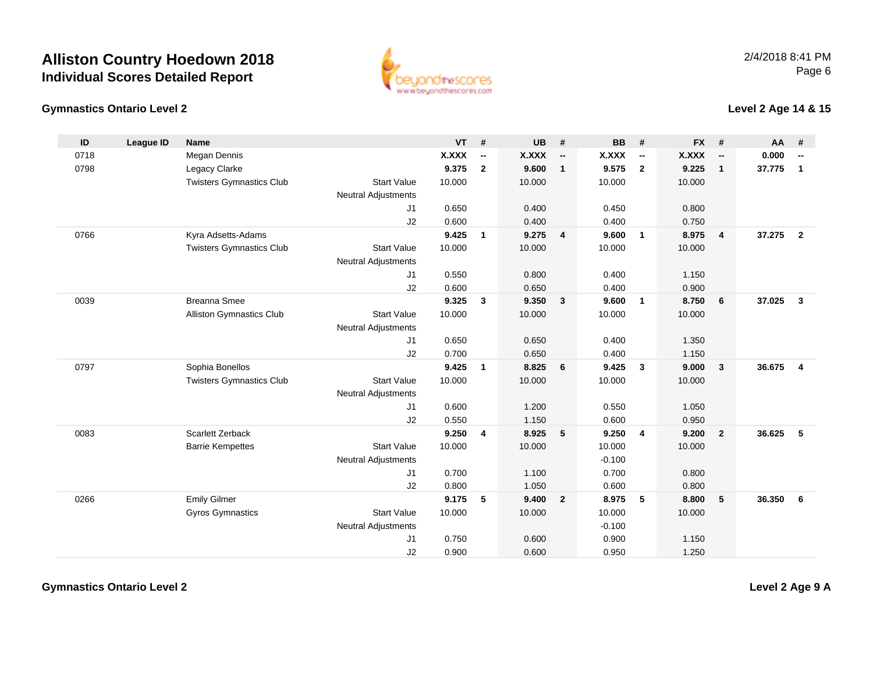



**Level 2 Age 14 & 15**

| ID   | <b>League ID</b> | <b>Name</b>                     |                            | <b>VT</b>    | #                        | <b>UB</b> | #                        | <b>BB</b> | #                        | <b>FX</b> | #                        | <b>AA</b> | #                        |
|------|------------------|---------------------------------|----------------------------|--------------|--------------------------|-----------|--------------------------|-----------|--------------------------|-----------|--------------------------|-----------|--------------------------|
| 0718 |                  | Megan Dennis                    |                            | <b>X.XXX</b> | $\overline{\phantom{a}}$ | X.XXX     | $\overline{\phantom{a}}$ | X.XXX     | $\overline{\phantom{a}}$ | X.XXX     | $\overline{\phantom{a}}$ | 0.000     | $\overline{\phantom{a}}$ |
| 0798 |                  | Legacy Clarke                   |                            | 9.375        | $\overline{2}$           | 9.600     | $\mathbf{1}$             | 9.575     | $\overline{2}$           | 9.225     | $\mathbf{1}$             | 37.775    | $\mathbf{1}$             |
|      |                  | <b>Twisters Gymnastics Club</b> | <b>Start Value</b>         | 10.000       |                          | 10.000    |                          | 10.000    |                          | 10.000    |                          |           |                          |
|      |                  |                                 | <b>Neutral Adjustments</b> |              |                          |           |                          |           |                          |           |                          |           |                          |
|      |                  |                                 | J1                         | 0.650        |                          | 0.400     |                          | 0.450     |                          | 0.800     |                          |           |                          |
|      |                  |                                 | J2                         | 0.600        |                          | 0.400     |                          | 0.400     |                          | 0.750     |                          |           |                          |
| 0766 |                  | Kyra Adsetts-Adams              |                            | 9.425        | $\mathbf{1}$             | 9.275     | $\overline{4}$           | 9.600     | $\overline{1}$           | 8.975     | $\overline{4}$           | 37.275    | $\overline{\mathbf{2}}$  |
|      |                  | <b>Twisters Gymnastics Club</b> | <b>Start Value</b>         | 10.000       |                          | 10.000    |                          | 10.000    |                          | 10.000    |                          |           |                          |
|      |                  |                                 | <b>Neutral Adjustments</b> |              |                          |           |                          |           |                          |           |                          |           |                          |
|      |                  |                                 | J1                         | 0.550        |                          | 0.800     |                          | 0.400     |                          | 1.150     |                          |           |                          |
|      |                  |                                 | J2                         | 0.600        |                          | 0.650     |                          | 0.400     |                          | 0.900     |                          |           |                          |
| 0039 |                  | <b>Breanna Smee</b>             |                            | 9.325        | 3                        | 9.350     | $\overline{\mathbf{3}}$  | 9.600     | $\overline{1}$           | 8.750     | 6                        | 37.025    | $\mathbf{3}$             |
|      |                  | Alliston Gymnastics Club        | <b>Start Value</b>         | 10.000       |                          | 10.000    |                          | 10.000    |                          | 10.000    |                          |           |                          |
|      |                  |                                 | <b>Neutral Adjustments</b> |              |                          |           |                          |           |                          |           |                          |           |                          |
|      |                  |                                 | J1                         | 0.650        |                          | 0.650     |                          | 0.400     |                          | 1.350     |                          |           |                          |
|      |                  |                                 | J2                         | 0.700        |                          | 0.650     |                          | 0.400     |                          | 1.150     |                          |           |                          |
| 0797 |                  | Sophia Bonellos                 |                            | 9.425        | $\mathbf{1}$             | 8.825     | 6                        | 9.425     | $\mathbf{3}$             | 9.000     | 3                        | 36.675    | 4                        |
|      |                  | <b>Twisters Gymnastics Club</b> | <b>Start Value</b>         | 10.000       |                          | 10.000    |                          | 10.000    |                          | 10.000    |                          |           |                          |
|      |                  |                                 | Neutral Adjustments        |              |                          |           |                          |           |                          |           |                          |           |                          |
|      |                  |                                 | J1                         | 0.600        |                          | 1.200     |                          | 0.550     |                          | 1.050     |                          |           |                          |
|      |                  |                                 | J2                         | 0.550        |                          | 1.150     |                          | 0.600     |                          | 0.950     |                          |           |                          |
| 0083 |                  | Scarlett Zerback                |                            | 9.250        | 4                        | 8.925     | 5                        | 9.250     | $\overline{4}$           | 9.200     | $\overline{2}$           | 36.625    | 5                        |
|      |                  | <b>Barrie Kempettes</b>         | <b>Start Value</b>         | 10.000       |                          | 10.000    |                          | 10.000    |                          | 10.000    |                          |           |                          |
|      |                  |                                 | <b>Neutral Adjustments</b> |              |                          |           |                          | $-0.100$  |                          |           |                          |           |                          |
|      |                  |                                 | J1                         | 0.700        |                          | 1.100     |                          | 0.700     |                          | 0.800     |                          |           |                          |
|      |                  |                                 | J2                         | 0.800        |                          | 1.050     |                          | 0.600     |                          | 0.800     |                          |           |                          |
| 0266 |                  | <b>Emily Gilmer</b>             |                            | 9.175        | 5                        | 9.400     | $\overline{\mathbf{2}}$  | 8.975     | 5                        | 8.800     | 5                        | 36.350    | 6                        |
|      |                  | <b>Gyros Gymnastics</b>         | <b>Start Value</b>         | 10.000       |                          | 10.000    |                          | 10.000    |                          | 10.000    |                          |           |                          |
|      |                  |                                 | <b>Neutral Adjustments</b> |              |                          |           |                          | $-0.100$  |                          |           |                          |           |                          |
|      |                  |                                 | J <sub>1</sub>             | 0.750        |                          | 0.600     |                          | 0.900     |                          | 1.150     |                          |           |                          |
|      |                  |                                 | J2                         | 0.900        |                          | 0.600     |                          | 0.950     |                          | 1.250     |                          |           |                          |

**Gymnastics Ontario Level 2**

**Level 2 Age 9 A**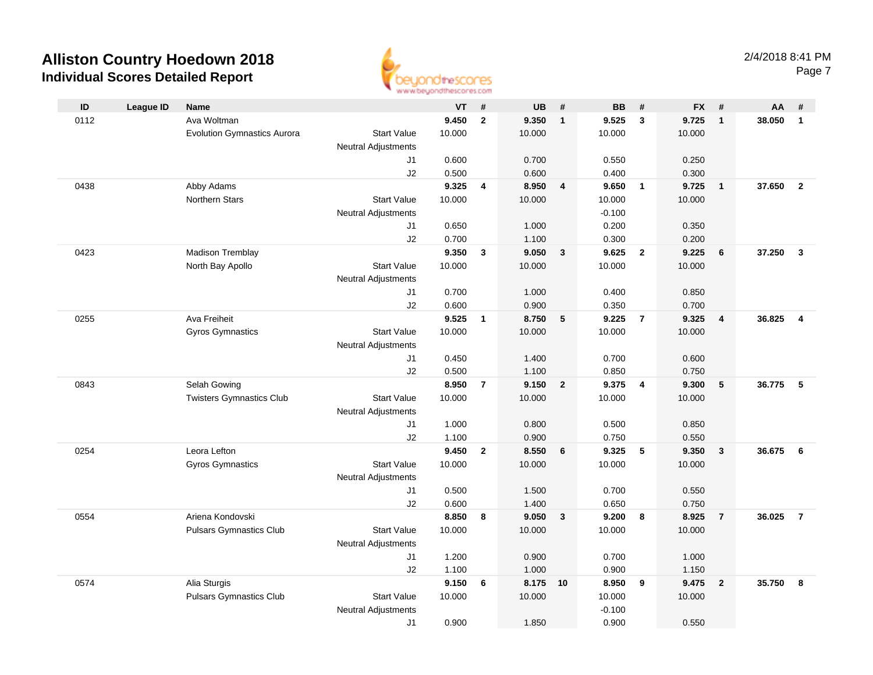

| ID   | <b>League ID</b> | <b>Name</b>                        |                                  | VT     | #                       | <b>UB</b> | #              | <b>BB</b> | #              | <b>FX</b> | #                       | AA     | #                       |
|------|------------------|------------------------------------|----------------------------------|--------|-------------------------|-----------|----------------|-----------|----------------|-----------|-------------------------|--------|-------------------------|
| 0112 |                  | Ava Woltman                        |                                  | 9.450  | $\mathbf{2}$            | 9.350     | $\mathbf{1}$   | 9.525     | $\mathbf{3}$   | 9.725     | $\overline{1}$          | 38.050 | $\mathbf{1}$            |
|      |                  | <b>Evolution Gymnastics Aurora</b> | <b>Start Value</b>               | 10.000 |                         | 10.000    |                | 10.000    |                | 10.000    |                         |        |                         |
|      |                  |                                    | <b>Neutral Adjustments</b>       |        |                         |           |                |           |                |           |                         |        |                         |
|      |                  |                                    | J1                               | 0.600  |                         | 0.700     |                | 0.550     |                | 0.250     |                         |        |                         |
|      |                  |                                    | J2                               | 0.500  |                         | 0.600     |                | 0.400     |                | 0.300     |                         |        |                         |
| 0438 |                  | Abby Adams                         |                                  | 9.325  | $\overline{\mathbf{4}}$ | 8.950     | $\overline{4}$ | 9.650     | $\overline{1}$ | 9.725     | $\overline{1}$          | 37.650 | $\overline{2}$          |
|      |                  | Northern Stars                     | <b>Start Value</b>               | 10.000 |                         | 10.000    |                | 10.000    |                | 10.000    |                         |        |                         |
|      |                  |                                    | <b>Neutral Adjustments</b>       |        |                         |           |                | $-0.100$  |                |           |                         |        |                         |
|      |                  |                                    | J1                               | 0.650  |                         | 1.000     |                | 0.200     |                | 0.350     |                         |        |                         |
|      |                  |                                    | J2                               | 0.700  |                         | 1.100     |                | 0.300     |                | 0.200     |                         |        |                         |
| 0423 |                  | Madison Tremblay                   |                                  | 9.350  | 3                       | 9.050     | 3              | 9.625     | $\overline{2}$ | 9.225     | 6                       | 37.250 | $\mathbf{3}$            |
|      |                  | North Bay Apollo                   | <b>Start Value</b>               | 10.000 |                         | 10.000    |                | 10.000    |                | 10.000    |                         |        |                         |
|      |                  |                                    | <b>Neutral Adjustments</b>       |        |                         |           |                |           |                |           |                         |        |                         |
|      |                  |                                    | J1                               | 0.700  |                         | 1.000     |                | 0.400     |                | 0.850     |                         |        |                         |
|      |                  |                                    | J2                               | 0.600  |                         | 0.900     |                | 0.350     |                | 0.700     |                         |        |                         |
| 0255 |                  | Ava Freiheit                       |                                  | 9.525  | $\mathbf{1}$            | 8.750     | 5              | 9.225     | $\overline{7}$ | 9.325     | $\overline{4}$          | 36.825 | $\overline{\mathbf{4}}$ |
|      |                  | Gyros Gymnastics                   | <b>Start Value</b>               | 10.000 |                         | 10.000    |                | 10.000    |                | 10.000    |                         |        |                         |
|      |                  |                                    | <b>Neutral Adjustments</b>       |        |                         |           |                |           |                |           |                         |        |                         |
|      |                  |                                    | J1                               | 0.450  |                         | 1.400     |                | 0.700     |                | 0.600     |                         |        |                         |
|      |                  |                                    | J2                               | 0.500  |                         | 1.100     |                | 0.850     |                | 0.750     |                         |        |                         |
| 0843 |                  | Selah Gowing                       |                                  | 8.950  | $\overline{7}$          | 9.150     | $\overline{2}$ | 9.375     | $\overline{4}$ | 9.300     | 5                       | 36.775 | 5                       |
|      |                  | <b>Twisters Gymnastics Club</b>    | <b>Start Value</b>               | 10.000 |                         | 10.000    |                | 10.000    |                | 10.000    |                         |        |                         |
|      |                  |                                    | <b>Neutral Adjustments</b>       |        |                         |           |                |           |                |           |                         |        |                         |
|      |                  |                                    | J1                               | 1.000  |                         | 0.800     |                | 0.500     |                | 0.850     |                         |        |                         |
|      |                  | Leora Lefton                       | J2                               | 1.100  |                         | 0.900     |                | 0.750     |                | 0.550     |                         |        |                         |
| 0254 |                  |                                    |                                  | 9.450  | $\mathbf{2}$            | 8.550     | 6              | 9.325     | 5              | 9.350     | $\overline{\mathbf{3}}$ | 36.675 | 6                       |
|      |                  | <b>Gyros Gymnastics</b>            | <b>Start Value</b>               | 10.000 |                         | 10.000    |                | 10.000    |                | 10.000    |                         |        |                         |
|      |                  |                                    | <b>Neutral Adjustments</b><br>J1 | 0.500  |                         | 1.500     |                | 0.700     |                | 0.550     |                         |        |                         |
|      |                  |                                    | J2                               | 0.600  |                         | 1.400     |                | 0.650     |                | 0.750     |                         |        |                         |
| 0554 |                  | Ariena Kondovski                   |                                  | 8.850  | 8                       | 9.050     | $\mathbf{3}$   | 9.200     | 8              | 8.925     | $\overline{7}$          | 36.025 | $\overline{7}$          |
|      |                  | <b>Pulsars Gymnastics Club</b>     | <b>Start Value</b>               | 10.000 |                         | 10.000    |                | 10.000    |                | 10.000    |                         |        |                         |
|      |                  |                                    | <b>Neutral Adjustments</b>       |        |                         |           |                |           |                |           |                         |        |                         |
|      |                  |                                    | J1                               | 1.200  |                         | 0.900     |                | 0.700     |                | 1.000     |                         |        |                         |
|      |                  |                                    | J2                               | 1.100  |                         | 1.000     |                | 0.900     |                | 1.150     |                         |        |                         |
| 0574 |                  | Alia Sturgis                       |                                  | 9.150  | 6                       | 8.175     | 10             | 8.950     | 9              | 9.475     | $\overline{2}$          | 35.750 | 8                       |
|      |                  | <b>Pulsars Gymnastics Club</b>     | <b>Start Value</b>               | 10.000 |                         | 10.000    |                | 10.000    |                | 10.000    |                         |        |                         |
|      |                  |                                    | <b>Neutral Adjustments</b>       |        |                         |           |                | $-0.100$  |                |           |                         |        |                         |
|      |                  |                                    | J1                               | 0.900  |                         | 1.850     |                | 0.900     |                | 0.550     |                         |        |                         |
|      |                  |                                    |                                  |        |                         |           |                |           |                |           |                         |        |                         |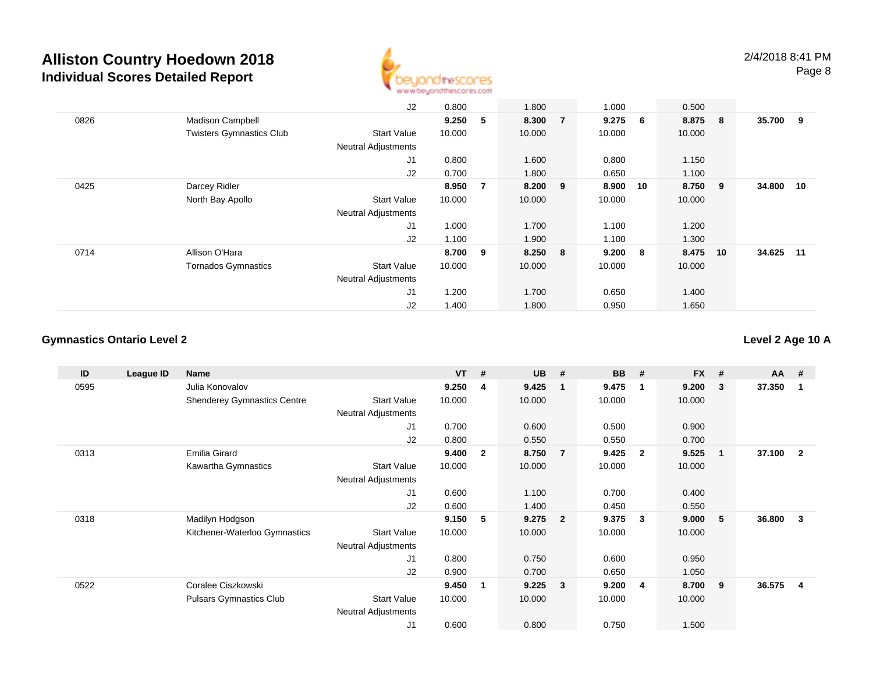

|      |                                 | J2                         | 0.800  |   | 1.800   |                | 1.000  |                | 0.500  |            |        |     |
|------|---------------------------------|----------------------------|--------|---|---------|----------------|--------|----------------|--------|------------|--------|-----|
| 0826 | <b>Madison Campbell</b>         |                            | 9.250  | 5 | 8.300   | $\overline{7}$ | 9.275  | 6 <sup>6</sup> | 8.875  | $_{\rm 8}$ | 35.700 | - 9 |
|      | <b>Twisters Gymnastics Club</b> | <b>Start Value</b>         | 10.000 |   | 10.000  |                | 10.000 |                | 10.000 |            |        |     |
|      |                                 | <b>Neutral Adjustments</b> |        |   |         |                |        |                |        |            |        |     |
|      |                                 | J <sub>1</sub>             | 0.800  |   | 1.600   |                | 0.800  |                | 1.150  |            |        |     |
|      |                                 | J2                         | 0.700  |   | 1.800   |                | 0.650  |                | 1.100  |            |        |     |
| 0425 | Darcey Ridler                   |                            | 8.950  | 7 | 8.200 9 |                | 8.900  | 10             | 8.750  | - 9        | 34.800 | 10  |
|      | North Bay Apollo                | <b>Start Value</b>         | 10.000 |   | 10.000  |                | 10.000 |                | 10.000 |            |        |     |
|      |                                 | <b>Neutral Adjustments</b> |        |   |         |                |        |                |        |            |        |     |
|      |                                 | J <sub>1</sub>             | 1.000  |   | 1.700   |                | 1.100  |                | 1.200  |            |        |     |
|      |                                 | J2                         | 1.100  |   | 1.900   |                | 1.100  |                | 1.300  |            |        |     |
| 0714 | Allison O'Hara                  |                            | 8.700  | 9 | 8.250 8 |                | 9.200  | - 8            | 8.475  | 10         | 34.625 | 11  |
|      | <b>Tornados Gymnastics</b>      | <b>Start Value</b>         | 10.000 |   | 10.000  |                | 10.000 |                | 10.000 |            |        |     |
|      |                                 | <b>Neutral Adjustments</b> |        |   |         |                |        |                |        |            |        |     |
|      |                                 | J <sub>1</sub>             | 1.200  |   | 1.700   |                | 0.650  |                | 1.400  |            |        |     |
|      |                                 | J2                         | 1.400  |   | 1.800   |                | 0.950  |                | 1.650  |            |        |     |

### **Gymnastics Ontario Level 2**

**Level 2 Age 10 A**

| ID   | League ID | <b>Name</b>                        |                            | <b>VT</b> | #            | <b>UB</b> | #                       | <b>BB</b> | #              | <b>FX</b> | # | $AA$ # |                |
|------|-----------|------------------------------------|----------------------------|-----------|--------------|-----------|-------------------------|-----------|----------------|-----------|---|--------|----------------|
| 0595 |           | Julia Konovalov                    |                            | 9.250     | 4            | 9.425     | -1                      | 9.475     | -1             | 9.200     | 3 | 37.350 |                |
|      |           | <b>Shenderey Gymnastics Centre</b> | <b>Start Value</b>         | 10.000    |              | 10.000    |                         | 10.000    |                | 10.000    |   |        |                |
|      |           |                                    | <b>Neutral Adjustments</b> |           |              |           |                         |           |                |           |   |        |                |
|      |           |                                    | J1                         | 0.700     |              | 0.600     |                         | 0.500     |                | 0.900     |   |        |                |
|      |           |                                    | J <sub>2</sub>             | 0.800     |              | 0.550     |                         | 0.550     |                | 0.700     |   |        |                |
| 0313 |           | Emilia Girard                      |                            | 9.400     | $\mathbf{2}$ | 8.750     | $\overline{7}$          | 9.425     | $\overline{2}$ | 9.525     | 1 | 37.100 | $\overline{2}$ |
|      |           | Kawartha Gymnastics                | <b>Start Value</b>         | 10.000    |              | 10.000    |                         | 10.000    |                | 10.000    |   |        |                |
|      |           |                                    | Neutral Adjustments        |           |              |           |                         |           |                |           |   |        |                |
|      |           |                                    | J1                         | 0.600     |              | 1.100     |                         | 0.700     |                | 0.400     |   |        |                |
|      |           |                                    | J <sub>2</sub>             | 0.600     |              | 1.400     |                         | 0.450     |                | 0.550     |   |        |                |
| 0318 |           | Madilyn Hodgson                    |                            | 9.150     | 5            | 9.275     | $\overline{\mathbf{2}}$ | 9.375     | 3              | 9.000     | 5 | 36.800 | 3              |
|      |           | Kitchener-Waterloo Gymnastics      | <b>Start Value</b>         | 10.000    |              | 10.000    |                         | 10.000    |                | 10.000    |   |        |                |
|      |           |                                    | <b>Neutral Adjustments</b> |           |              |           |                         |           |                |           |   |        |                |
|      |           |                                    | J <sub>1</sub>             | 0.800     |              | 0.750     |                         | 0.600     |                | 0.950     |   |        |                |
|      |           |                                    | J2                         | 0.900     |              | 0.700     |                         | 0.650     |                | 1.050     |   |        |                |
| 0522 |           | Coralee Ciszkowski                 |                            | 9.450     | 1            | 9.225     | $\overline{\mathbf{3}}$ | 9.200     | -4             | 8.700     | 9 | 36.575 | 4              |
|      |           | <b>Pulsars Gymnastics Club</b>     | <b>Start Value</b>         | 10.000    |              | 10.000    |                         | 10.000    |                | 10.000    |   |        |                |
|      |           |                                    | <b>Neutral Adjustments</b> |           |              |           |                         |           |                |           |   |        |                |
|      |           |                                    | J1                         | 0.600     |              | 0.800     |                         | 0.750     |                | 1.500     |   |        |                |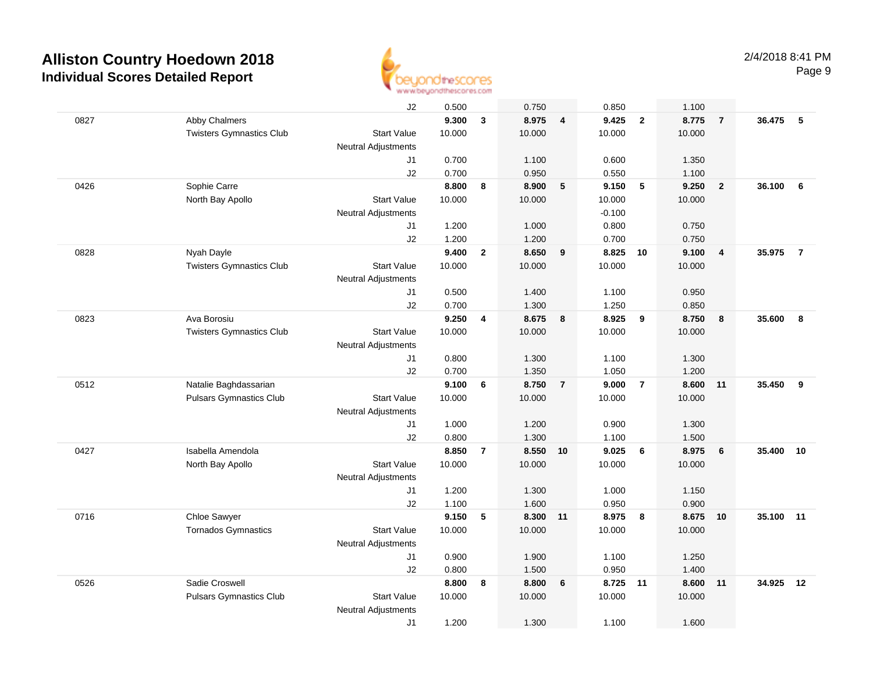

|      |                                 | J2                         | 0.500  |                         | 0.750    |                | 0.850    |                         | 1.100  |                |          |                |
|------|---------------------------------|----------------------------|--------|-------------------------|----------|----------------|----------|-------------------------|--------|----------------|----------|----------------|
| 0827 | Abby Chalmers                   |                            | 9.300  | $\mathbf{3}$            | 8.975 4  |                | 9.425    | $\overline{2}$          | 8.775  | $\overline{7}$ | 36.475 5 |                |
|      | <b>Twisters Gymnastics Club</b> | <b>Start Value</b>         | 10.000 |                         | 10.000   |                | 10.000   |                         | 10.000 |                |          |                |
|      |                                 | <b>Neutral Adjustments</b> |        |                         |          |                |          |                         |        |                |          |                |
|      |                                 | J1                         | 0.700  |                         | 1.100    |                | 0.600    |                         | 1.350  |                |          |                |
|      |                                 | J2                         | 0.700  |                         | 0.950    |                | 0.550    |                         | 1.100  |                |          |                |
| 0426 | Sophie Carre                    |                            | 8.800  | 8                       | 8.900    | 5              | 9.150    | 5                       | 9.250  | $\overline{2}$ | 36.100   | 6              |
|      | North Bay Apollo                | <b>Start Value</b>         | 10.000 |                         | 10.000   |                | 10.000   |                         | 10.000 |                |          |                |
|      |                                 | <b>Neutral Adjustments</b> |        |                         |          |                | $-0.100$ |                         |        |                |          |                |
|      |                                 | J1                         | 1.200  |                         | 1.000    |                | 0.800    |                         | 0.750  |                |          |                |
|      |                                 | J2                         | 1.200  |                         | 1.200    |                | 0.700    |                         | 0.750  |                |          |                |
| 0828 | Nyah Dayle                      |                            | 9.400  | $\overline{2}$          | 8.650    | 9              | 8.825    | 10                      | 9.100  | $\overline{4}$ | 35.975   | $\overline{7}$ |
|      | <b>Twisters Gymnastics Club</b> | <b>Start Value</b>         | 10.000 |                         | 10.000   |                | 10.000   |                         | 10.000 |                |          |                |
|      |                                 | <b>Neutral Adjustments</b> |        |                         |          |                |          |                         |        |                |          |                |
|      |                                 | J1                         | 0.500  |                         | 1.400    |                | 1.100    |                         | 0.950  |                |          |                |
|      |                                 | J2                         | 0.700  |                         | 1.300    |                | 1.250    |                         | 0.850  |                |          |                |
| 0823 | Ava Borosiu                     |                            | 9.250  | $\overline{\mathbf{4}}$ | 8.675    | 8              | 8.925    | 9                       | 8.750  | 8              | 35.600   | 8              |
|      | <b>Twisters Gymnastics Club</b> | <b>Start Value</b>         | 10.000 |                         | 10.000   |                | 10.000   |                         | 10.000 |                |          |                |
|      |                                 | <b>Neutral Adjustments</b> |        |                         |          |                |          |                         |        |                |          |                |
|      |                                 | J1                         | 0.800  |                         | 1.300    |                | 1.100    |                         | 1.300  |                |          |                |
|      |                                 | J2                         | 0.700  |                         | 1.350    |                | 1.050    |                         | 1.200  |                |          |                |
| 0512 | Natalie Baghdassarian           |                            | 9.100  | 6                       | 8.750    | $\overline{7}$ | 9.000    | $\overline{7}$          | 8.600  | 11             | 35.450   | 9              |
|      | <b>Pulsars Gymnastics Club</b>  | <b>Start Value</b>         | 10.000 |                         | 10.000   |                | 10.000   |                         | 10.000 |                |          |                |
|      |                                 |                            |        |                         |          |                |          |                         |        |                |          |                |
|      |                                 | <b>Neutral Adjustments</b> |        |                         |          |                |          |                         |        |                |          |                |
|      |                                 | J1                         | 1.000  |                         | 1.200    |                | 0.900    |                         | 1.300  |                |          |                |
|      |                                 | J2                         | 0.800  |                         | 1.300    |                | 1.100    |                         | 1.500  |                |          |                |
| 0427 | Isabella Amendola               |                            | 8.850  | $\overline{7}$          | 8.550    | 10             | 9.025    | 6                       | 8.975  | 6              | 35.400   | 10             |
|      | North Bay Apollo                | <b>Start Value</b>         | 10.000 |                         | 10.000   |                | 10.000   |                         | 10.000 |                |          |                |
|      |                                 | <b>Neutral Adjustments</b> |        |                         |          |                |          |                         |        |                |          |                |
|      |                                 | J1                         | 1.200  |                         | 1.300    |                | 1.000    |                         | 1.150  |                |          |                |
|      |                                 | J2                         | 1.100  |                         | 1.600    |                | 0.950    |                         | 0.900  |                |          |                |
| 0716 | Chloe Sawyer                    |                            | 9.150  | 5                       | 8.300 11 |                | 8.975    | $\overline{\mathbf{8}}$ | 8.675  | 10             | 35.100   | 11             |
|      | <b>Tornados Gymnastics</b>      | <b>Start Value</b>         | 10.000 |                         | 10.000   |                | 10.000   |                         | 10.000 |                |          |                |
|      |                                 | <b>Neutral Adjustments</b> |        |                         |          |                |          |                         |        |                |          |                |
|      |                                 | J1                         | 0.900  |                         | 1.900    |                | 1.100    |                         | 1.250  |                |          |                |
|      |                                 | J2                         | 0.800  |                         | 1.500    |                | 0.950    |                         | 1.400  |                |          |                |
| 0526 | Sadie Croswell                  |                            | 8.800  | 8                       | 8.800    | 6              | 8.725    | 11                      | 8.600  | 11             | 34.925   | 12             |
|      | <b>Pulsars Gymnastics Club</b>  | <b>Start Value</b>         | 10.000 |                         | 10.000   |                | 10.000   |                         | 10.000 |                |          |                |
|      |                                 | <b>Neutral Adjustments</b> |        |                         |          |                |          |                         |        |                |          |                |
|      |                                 | J1                         | 1.200  |                         | 1.300    |                | 1.100    |                         | 1.600  |                |          |                |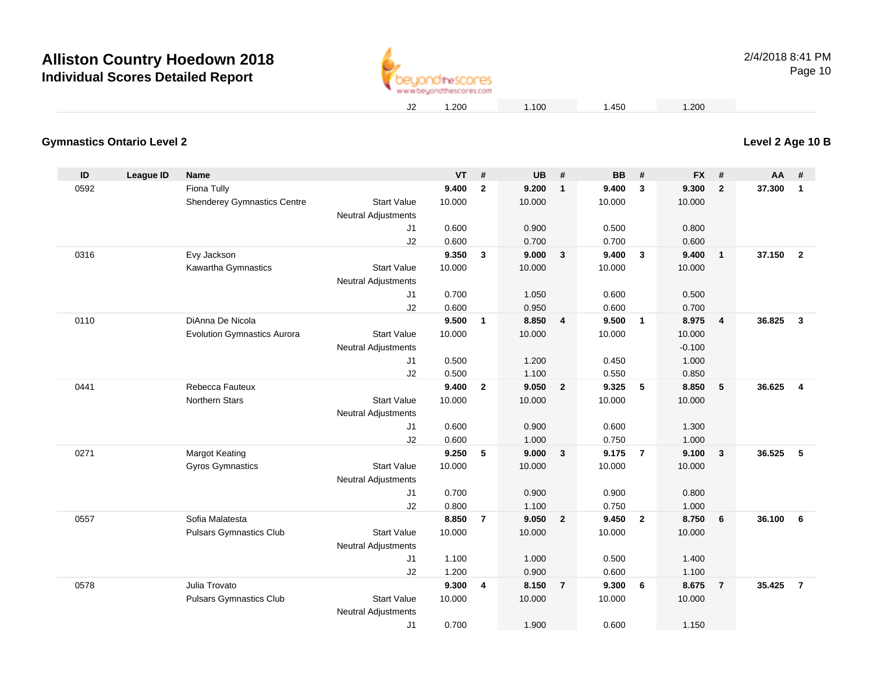

**Level 2 Age 10 B**

### **Gymnastics Ontario Level 2**

| ID   | League ID | Name                               |                                                  | <b>VT</b> | #                       | <b>UB</b> | #                       | <b>BB</b> | #              | <b>FX</b> | #              | AA     | #                       |
|------|-----------|------------------------------------|--------------------------------------------------|-----------|-------------------------|-----------|-------------------------|-----------|----------------|-----------|----------------|--------|-------------------------|
| 0592 |           | Fiona Tully                        |                                                  | 9.400     | $\overline{2}$          | 9.200     | $\mathbf{1}$            | 9.400     | 3              | 9.300     | $\overline{2}$ | 37.300 | $\mathbf{1}$            |
|      |           | <b>Shenderey Gymnastics Centre</b> | <b>Start Value</b>                               | 10.000    |                         | 10.000    |                         | 10.000    |                | 10.000    |                |        |                         |
|      |           |                                    | <b>Neutral Adjustments</b>                       |           |                         |           |                         |           |                |           |                |        |                         |
|      |           |                                    | J1                                               | 0.600     |                         | 0.900     |                         | 0.500     |                | 0.800     |                |        |                         |
|      |           |                                    | J2                                               | 0.600     |                         | 0.700     |                         | 0.700     |                | 0.600     |                |        |                         |
| 0316 |           | Evy Jackson                        |                                                  | 9.350     | 3                       | 9.000     | $\mathbf{3}$            | 9.400     | $\mathbf{3}$   | 9.400     | $\mathbf{1}$   | 37.150 | $\overline{\mathbf{2}}$ |
|      |           | Kawartha Gymnastics                | <b>Start Value</b>                               | 10.000    |                         | 10.000    |                         | 10.000    |                | 10.000    |                |        |                         |
|      |           |                                    | <b>Neutral Adjustments</b>                       |           |                         |           |                         |           |                |           |                |        |                         |
|      |           |                                    | J1                                               | 0.700     |                         | 1.050     |                         | 0.600     |                | 0.500     |                |        |                         |
|      |           |                                    | J2                                               | 0.600     |                         | 0.950     |                         | 0.600     |                | 0.700     |                |        |                         |
| 0110 |           | DiAnna De Nicola                   |                                                  | 9.500     | $\mathbf{1}$            | 8.850     | $\overline{4}$          | 9.500     | $\overline{1}$ | 8.975     | 4              | 36.825 | 3                       |
|      |           | <b>Evolution Gymnastics Aurora</b> | <b>Start Value</b>                               | 10.000    |                         | 10.000    |                         | 10.000    |                | 10.000    |                |        |                         |
|      |           |                                    | <b>Neutral Adjustments</b>                       |           |                         |           |                         |           |                | $-0.100$  |                |        |                         |
|      |           |                                    | J1                                               | 0.500     |                         | 1.200     |                         | 0.450     |                | 1.000     |                |        |                         |
|      |           |                                    | J2                                               | 0.500     |                         | 1.100     |                         | 0.550     |                | 0.850     |                |        |                         |
| 0441 |           | Rebecca Fauteux                    |                                                  | 9.400     | $\mathbf{2}$            | 9.050     | $\overline{\mathbf{2}}$ | 9.325     | 5              | 8.850     | 5              | 36.625 | $\overline{\mathbf{4}}$ |
|      |           | <b>Northern Stars</b>              | <b>Start Value</b>                               | 10.000    |                         | 10.000    |                         | 10.000    |                | 10.000    |                |        |                         |
|      |           |                                    | <b>Neutral Adjustments</b>                       |           |                         |           |                         |           |                |           |                |        |                         |
|      |           |                                    | J1                                               | 0.600     |                         | 0.900     |                         | 0.600     |                | 1.300     |                |        |                         |
|      |           |                                    | J2                                               | 0.600     |                         | 1.000     |                         | 0.750     |                | 1.000     |                |        |                         |
| 0271 |           | <b>Margot Keating</b>              |                                                  | 9.250     | 5                       | 9.000     | $\overline{\mathbf{3}}$ | 9.175     | $\overline{7}$ | 9.100     | $\mathbf{3}$   | 36.525 | 5                       |
|      |           | <b>Gyros Gymnastics</b>            | <b>Start Value</b><br><b>Neutral Adjustments</b> | 10.000    |                         | 10.000    |                         | 10.000    |                | 10.000    |                |        |                         |
|      |           |                                    | J1                                               | 0.700     |                         | 0.900     |                         | 0.900     |                | 0.800     |                |        |                         |
|      |           |                                    | J2                                               | 0.800     |                         | 1.100     |                         | 0.750     |                | 1.000     |                |        |                         |
| 0557 |           | Sofia Malatesta                    |                                                  | 8.850     | $\overline{7}$          | 9.050     | $\overline{\mathbf{2}}$ | 9.450     | $\overline{2}$ | 8.750     | 6              | 36.100 | 6                       |
|      |           | <b>Pulsars Gymnastics Club</b>     | <b>Start Value</b>                               | 10.000    |                         | 10.000    |                         | 10.000    |                | 10.000    |                |        |                         |
|      |           |                                    | <b>Neutral Adjustments</b>                       |           |                         |           |                         |           |                |           |                |        |                         |
|      |           |                                    | J1                                               | 1.100     |                         | 1.000     |                         | 0.500     |                | 1.400     |                |        |                         |
|      |           |                                    | J2                                               | 1.200     |                         | 0.900     |                         | 0.600     |                | 1.100     |                |        |                         |
| 0578 |           | Julia Trovato                      |                                                  | 9.300     | $\overline{\mathbf{4}}$ | 8.150     | $\overline{7}$          | 9.300     | 6              | 8.675     | $\overline{7}$ | 35.425 | $\overline{7}$          |
|      |           | <b>Pulsars Gymnastics Club</b>     | <b>Start Value</b>                               | 10.000    |                         | 10.000    |                         | 10.000    |                | 10.000    |                |        |                         |
|      |           |                                    | <b>Neutral Adjustments</b>                       |           |                         |           |                         |           |                |           |                |        |                         |
|      |           |                                    | J1                                               | 0.700     |                         | 1.900     |                         | 0.600     |                | 1.150     |                |        |                         |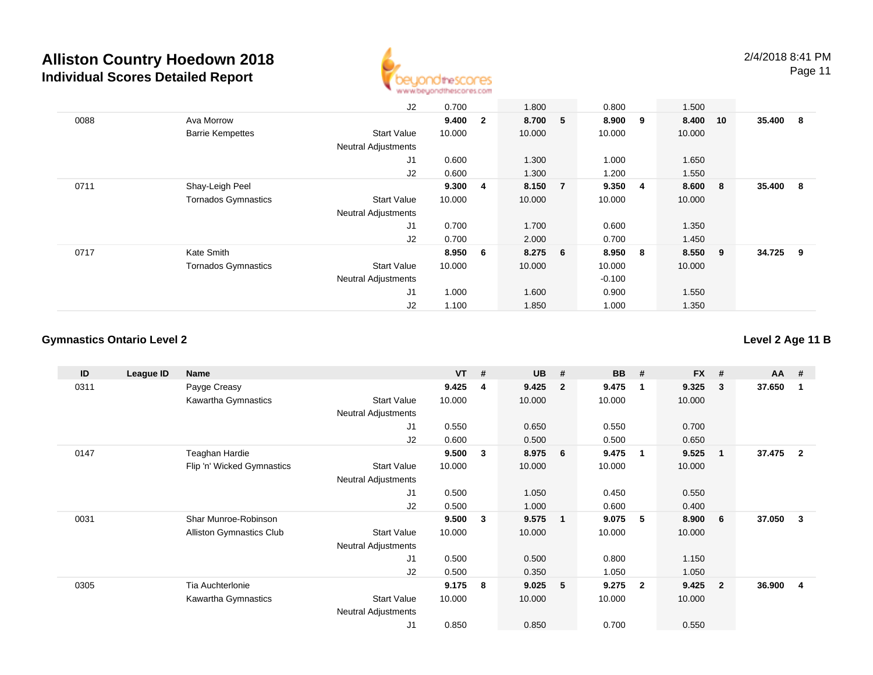

J2 0.700 1.800 0.800 1.500 0088 Ava Morrow **9.400 <sup>2</sup> 8.700 <sup>5</sup> 8.900 <sup>9</sup> 8.400 <sup>10</sup> 35.400 <sup>8</sup>** Barrie Kempettes Start Valuee 10.000 10.000 10.000 10.000 Neutral Adjustments J1 0.600 1.300 1.000 1.650 J2 0.600 1.300 1.200 1.550 0711 Shay-Leigh Peel **9.300 <sup>4</sup> 8.150 <sup>7</sup> 9.350 <sup>4</sup> 8.600 <sup>8</sup> 35.400 <sup>8</sup>** Tornados Gymnastics Start Valuee 10.000 10.000 10.000 10.000 Neutral Adjustments J1 0.700 1.700 0.600 1.350 J2 0.700 2.000 0.700 1.450 0717 Kate Smith **8.950 <sup>6</sup> 8.275 <sup>6</sup> 8.950 <sup>8</sup> 8.550 <sup>9</sup> 34.725 <sup>9</sup>** Tornados Gymnastics Start Valuee 10.000 10.000 10.000 10.000 Neutral Adjustments $\sim$  -0.100 0.900 J1 1.000 1.600 0.900 1.550 J21.100 1.850 1.000 1.350

#### **Gymnastics Ontario Level 2**

**Level 2 Age 11 B**

| ID   | League ID | <b>Name</b>                |                            | <b>VT</b> | #  | <b>UB</b> | #                       | <b>BB</b> | #            | <b>FX</b> | #              | $AA$ # |                |
|------|-----------|----------------------------|----------------------------|-----------|----|-----------|-------------------------|-----------|--------------|-----------|----------------|--------|----------------|
| 0311 |           | Payge Creasy               |                            | 9.425     | -4 | 9.425     | - 2                     | 9.475     | $\mathbf 1$  | 9.325     | 3              | 37.650 | -1             |
|      |           | Kawartha Gymnastics        | <b>Start Value</b>         | 10.000    |    | 10.000    |                         | 10.000    |              | 10.000    |                |        |                |
|      |           |                            | <b>Neutral Adjustments</b> |           |    |           |                         |           |              |           |                |        |                |
|      |           |                            | J1                         | 0.550     |    | 0.650     |                         | 0.550     |              | 0.700     |                |        |                |
|      |           |                            | J2                         | 0.600     |    | 0.500     |                         | 0.500     |              | 0.650     |                |        |                |
| 0147 |           | Teaghan Hardie             |                            | 9.500     | 3  | 8.975     | - 6                     | 9.475     | $\mathbf 1$  | 9.525     | -1             | 37.475 | $\overline{2}$ |
|      |           | Flip 'n' Wicked Gymnastics | <b>Start Value</b>         | 10.000    |    | 10.000    |                         | 10.000    |              | 10.000    |                |        |                |
|      |           |                            | Neutral Adjustments        |           |    |           |                         |           |              |           |                |        |                |
|      |           |                            | J1                         | 0.500     |    | 1.050     |                         | 0.450     |              | 0.550     |                |        |                |
|      |           |                            | J2                         | 0.500     |    | 1.000     |                         | 0.600     |              | 0.400     |                |        |                |
| 0031 |           | Shar Munroe-Robinson       |                            | 9.500     | 3  | 9.575     | $\overline{\mathbf{1}}$ | 9.075     | 5            | 8.900     | 6              | 37.050 | 3              |
|      |           | Alliston Gymnastics Club   | <b>Start Value</b>         | 10.000    |    | 10.000    |                         | 10.000    |              | 10.000    |                |        |                |
|      |           |                            | <b>Neutral Adjustments</b> |           |    |           |                         |           |              |           |                |        |                |
|      |           |                            | J1                         | 0.500     |    | 0.500     |                         | 0.800     |              | 1.150     |                |        |                |
|      |           |                            | J2                         | 0.500     |    | 0.350     |                         | 1.050     |              | 1.050     |                |        |                |
| 0305 |           | Tia Auchterlonie           |                            | 9.175     | 8  | 9.025     | -5                      | 9.275     | $\mathbf{2}$ | 9.425     | $\overline{2}$ | 36.900 | 4              |
|      |           | Kawartha Gymnastics        | <b>Start Value</b>         | 10.000    |    | 10.000    |                         | 10.000    |              | 10.000    |                |        |                |
|      |           |                            | <b>Neutral Adjustments</b> |           |    |           |                         |           |              |           |                |        |                |
|      |           |                            | J1                         | 0.850     |    | 0.850     |                         | 0.700     |              | 0.550     |                |        |                |